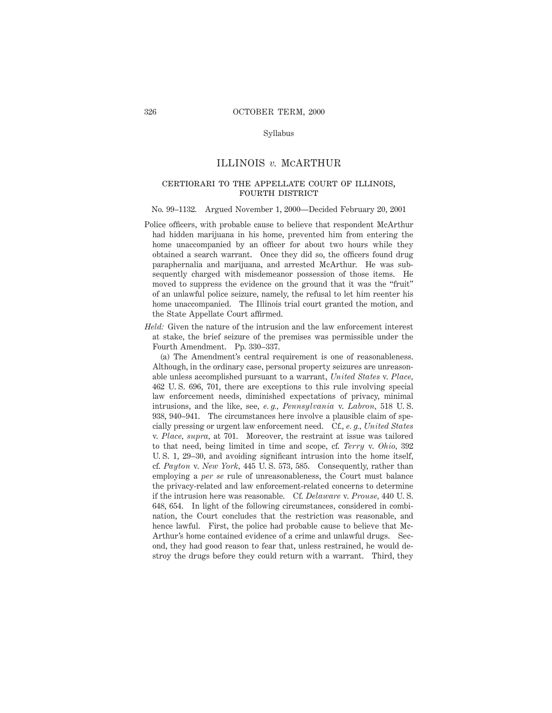#### Syllabus

## ILLINOIS *v.* McARTHUR

## certiorari to the appellate court of illinois, fourth district

#### No. 99–1132. Argued November 1, 2000—Decided February 20, 2001

- Police officers, with probable cause to believe that respondent McArthur had hidden marijuana in his home, prevented him from entering the home unaccompanied by an officer for about two hours while they obtained a search warrant. Once they did so, the officers found drug paraphernalia and marijuana, and arrested McArthur. He was subsequently charged with misdemeanor possession of those items. He moved to suppress the evidence on the ground that it was the "fruit" of an unlawful police seizure, namely, the refusal to let him reenter his home unaccompanied. The Illinois trial court granted the motion, and the State Appellate Court affirmed.
- *Held:* Given the nature of the intrusion and the law enforcement interest at stake, the brief seizure of the premises was permissible under the Fourth Amendment. Pp. 330–337.

(a) The Amendment's central requirement is one of reasonableness. Although, in the ordinary case, personal property seizures are unreasonable unless accomplished pursuant to a warrant, *United States* v. *Place,* 462 U. S. 696, 701, there are exceptions to this rule involving special law enforcement needs, diminished expectations of privacy, minimal intrusions, and the like, see, *e. g., Pennsylvania* v. *Labron,* 518 U. S. 938, 940–941. The circumstances here involve a plausible claim of specially pressing or urgent law enforcement need. Cf., *e. g., United States* v. *Place, supra,* at 701. Moreover, the restraint at issue was tailored to that need, being limited in time and scope, cf. *Terry* v. *Ohio,* 392 U. S. 1, 29–30, and avoiding significant intrusion into the home itself, cf. *Payton* v. *New York,* 445 U. S. 573, 585. Consequently, rather than employing a *per se* rule of unreasonableness, the Court must balance the privacy-related and law enforcement-related concerns to determine if the intrusion here was reasonable. Cf. *Delaware* v. *Prouse,* 440 U. S. 648, 654. In light of the following circumstances, considered in combination, the Court concludes that the restriction was reasonable, and hence lawful. First, the police had probable cause to believe that Mc-Arthur's home contained evidence of a crime and unlawful drugs. Second, they had good reason to fear that, unless restrained, he would destroy the drugs before they could return with a warrant. Third, they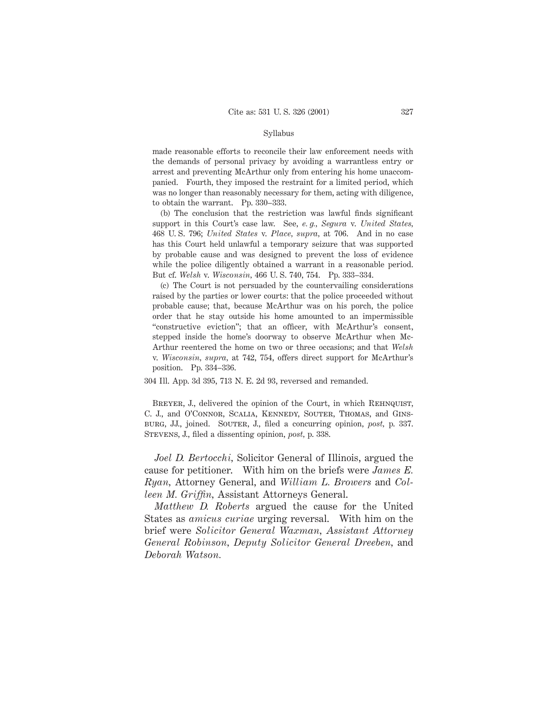#### Syllabus

made reasonable efforts to reconcile their law enforcement needs with the demands of personal privacy by avoiding a warrantless entry or arrest and preventing McArthur only from entering his home unaccompanied. Fourth, they imposed the restraint for a limited period, which was no longer than reasonably necessary for them, acting with diligence, to obtain the warrant. Pp. 330–333.

(b) The conclusion that the restriction was lawful finds significant support in this Court's case law. See, *e. g., Segura* v. *United States,* 468 U. S. 796; *United States* v. *Place, supra,* at 706. And in no case has this Court held unlawful a temporary seizure that was supported by probable cause and was designed to prevent the loss of evidence while the police diligently obtained a warrant in a reasonable period. But cf. *Welsh* v. *Wisconsin,* 466 U. S. 740, 754. Pp. 333–334.

(c) The Court is not persuaded by the countervailing considerations raised by the parties or lower courts: that the police proceeded without probable cause; that, because McArthur was on his porch, the police order that he stay outside his home amounted to an impermissible "constructive eviction"; that an officer, with McArthur's consent, stepped inside the home's doorway to observe McArthur when Mc-Arthur reentered the home on two or three occasions; and that *Welsh* v. *Wisconsin, supra,* at 742, 754, offers direct support for McArthur's position. Pp. 334–336.

304 Ill. App. 3d 395, 713 N. E. 2d 93, reversed and remanded.

BREYER, J., delivered the opinion of the Court, in which REHNQUIST, C. J., and O'Connor, Scalia, Kennedy, Souter, Thomas, and Ginsburg, JJ., joined. Souter, J., filed a concurring opinion, *post,* p. 337. Stevens, J., filed a dissenting opinion, *post,* p. 338.

*Joel D. Bertocchi,* Solicitor General of Illinois, argued the cause for petitioner. With him on the briefs were *James E. Ryan,* Attorney General, and *William L. Browers* and *Colleen M. Griffin,* Assistant Attorneys General.

*Matthew D. Roberts* argued the cause for the United States as *amicus curiae* urging reversal. With him on the brief were *Solicitor General Waxman, Assistant Attorney General Robinson, Deputy Solicitor General Dreeben,* and *Deborah Watson.*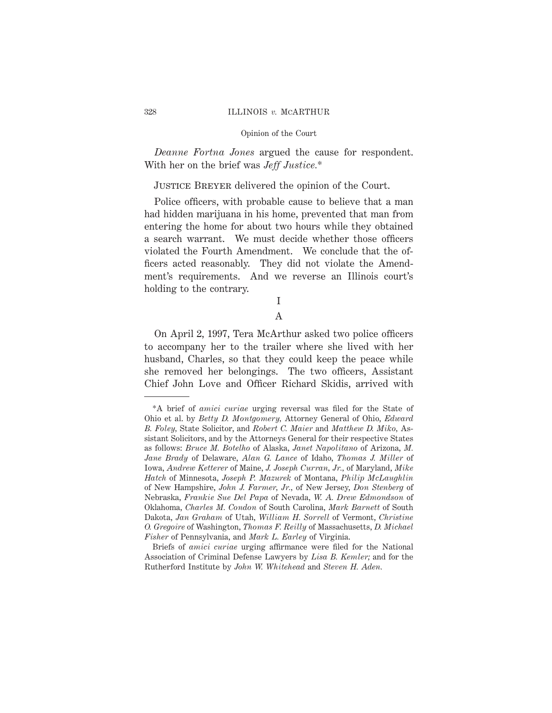*Deanne Fortna Jones* argued the cause for respondent. With her on the brief was *Jeff Justice.*\*

# Justice Breyer delivered the opinion of the Court.

Police officers, with probable cause to believe that a man had hidden marijuana in his home, prevented that man from entering the home for about two hours while they obtained a search warrant. We must decide whether those officers violated the Fourth Amendment. We conclude that the officers acted reasonably. They did not violate the Amendment's requirements. And we reverse an Illinois court's holding to the contrary.

# I

## A

On April 2, 1997, Tera McArthur asked two police officers to accompany her to the trailer where she lived with her husband, Charles, so that they could keep the peace while she removed her belongings. The two officers, Assistant Chief John Love and Officer Richard Skidis, arrived with

<sup>\*</sup>A brief of *amici curiae* urging reversal was filed for the State of Ohio et al. by *Betty D. Montgomery,* Attorney General of Ohio, *Edward B. Foley,* State Solicitor, and *Robert C. Maier* and *Matthew D. Miko,* Assistant Solicitors, and by the Attorneys General for their respective States as follows: *Bruce M. Botelho* of Alaska, *Janet Napolitano* of Arizona, *M. Jane Brady* of Delaware, *Alan G. Lance* of Idaho, *Thomas J. Miller* of Iowa, *Andrew Ketterer* of Maine, *J. Joseph Curran, Jr.,* of Maryland, *Mike Hatch* of Minnesota, *Joseph P. Mazurek* of Montana, *Philip McLaughlin* of New Hampshire, *John J. Farmer, Jr.,* of New Jersey, *Don Stenberg* of Nebraska, *Frankie Sue Del Papa* of Nevada, *W. A. Drew Edmondson* of Oklahoma, *Charles M. Condon* of South Carolina, *Mark Barnett* of South Dakota, *Jan Graham* of Utah, *William H. Sorrell* of Vermont, *Christine O. Gregoire* of Washington, *Thomas F. Reilly* of Massachusetts, *D. Michael Fisher* of Pennsylvania, and *Mark L. Earley* of Virginia.

Briefs of *amici curiae* urging affirmance were filed for the National Association of Criminal Defense Lawyers by *Lisa B. Kemler;* and for the Rutherford Institute by *John W. Whitehead* and *Steven H. Aden.*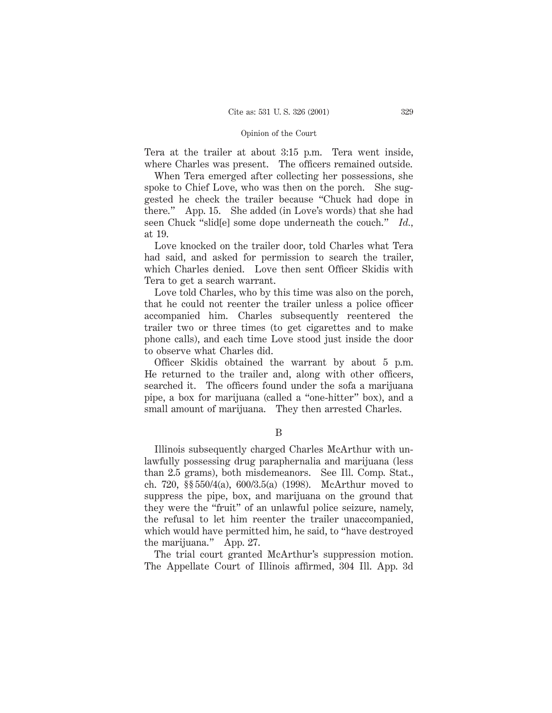Tera at the trailer at about 3:15 p.m. Tera went inside, where Charles was present. The officers remained outside.

When Tera emerged after collecting her possessions, she spoke to Chief Love, who was then on the porch. She suggested he check the trailer because "Chuck had dope in there." App. 15. She added (in Love's words) that she had seen Chuck "slid[e] some dope underneath the couch." *Id.,* at 19.

Love knocked on the trailer door, told Charles what Tera had said, and asked for permission to search the trailer, which Charles denied. Love then sent Officer Skidis with Tera to get a search warrant.

Love told Charles, who by this time was also on the porch, that he could not reenter the trailer unless a police officer accompanied him. Charles subsequently reentered the trailer two or three times (to get cigarettes and to make phone calls), and each time Love stood just inside the door to observe what Charles did.

Officer Skidis obtained the warrant by about 5 p.m. He returned to the trailer and, along with other officers, searched it. The officers found under the sofa a marijuana pipe, a box for marijuana (called a "one-hitter" box), and a small amount of marijuana. They then arrested Charles.

B

Illinois subsequently charged Charles McArthur with unlawfully possessing drug paraphernalia and marijuana (less than 2.5 grams), both misdemeanors. See Ill. Comp. Stat., ch. 720, §§ 550/4(a), 600/3.5(a) (1998). McArthur moved to suppress the pipe, box, and marijuana on the ground that they were the "fruit" of an unlawful police seizure, namely, the refusal to let him reenter the trailer unaccompanied, which would have permitted him, he said, to "have destroyed the marijuana." App. 27.

The trial court granted McArthur's suppression motion. The Appellate Court of Illinois affirmed, 304 Ill. App. 3d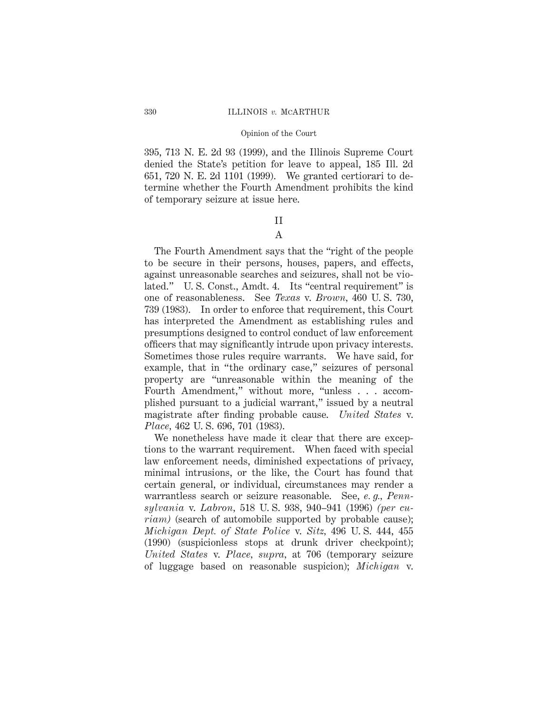#### 330 ILLINOIS *v.* McARTHUR

#### Opinion of the Court

395, 713 N. E. 2d 93 (1999), and the Illinois Supreme Court denied the State's petition for leave to appeal, 185 Ill. 2d 651, 720 N. E. 2d 1101 (1999). We granted certiorari to determine whether the Fourth Amendment prohibits the kind of temporary seizure at issue here.

# II

## A

The Fourth Amendment says that the "right of the people to be secure in their persons, houses, papers, and effects, against unreasonable searches and seizures, shall not be violated." U. S. Const., Amdt. 4. Its "central requirement" is one of reasonableness. See *Texas* v. *Brown,* 460 U. S. 730, 739 (1983). In order to enforce that requirement, this Court has interpreted the Amendment as establishing rules and presumptions designed to control conduct of law enforcement officers that may significantly intrude upon privacy interests. Sometimes those rules require warrants. We have said, for example, that in "the ordinary case," seizures of personal property are "unreasonable within the meaning of the Fourth Amendment," without more, "unless... accomplished pursuant to a judicial warrant," issued by a neutral magistrate after finding probable cause. *United States* v. *Place,* 462 U. S. 696, 701 (1983).

We nonetheless have made it clear that there are exceptions to the warrant requirement. When faced with special law enforcement needs, diminished expectations of privacy, minimal intrusions, or the like, the Court has found that certain general, or individual, circumstances may render a warrantless search or seizure reasonable. See, *e. g., Pennsylvania* v. *Labron,* 518 U. S. 938, 940–941 (1996) *(per curiam*) (search of automobile supported by probable cause); *Michigan Dept. of State Police* v. *Sitz,* 496 U. S. 444, 455 (1990) (suspicionless stops at drunk driver checkpoint); *United States* v. *Place, supra,* at 706 (temporary seizure of luggage based on reasonable suspicion); *Michigan* v.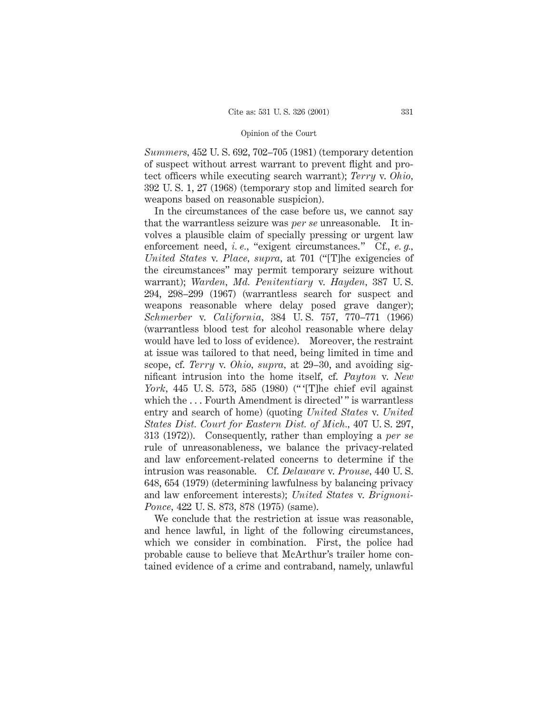*Summers,* 452 U. S. 692, 702–705 (1981) (temporary detention of suspect without arrest warrant to prevent flight and protect officers while executing search warrant); *Terry* v. *Ohio,* 392 U. S. 1, 27 (1968) (temporary stop and limited search for weapons based on reasonable suspicion).

In the circumstances of the case before us, we cannot say that the warrantless seizure was *per se* unreasonable. It involves a plausible claim of specially pressing or urgent law enforcement need, *i. e.,* "exigent circumstances." Cf., *e. g., United States* v. *Place, supra,* at 701 ("[T]he exigencies of the circumstances" may permit temporary seizure without warrant); *Warden, Md. Penitentiary* v. *Hayden,* 387 U. S. 294, 298–299 (1967) (warrantless search for suspect and weapons reasonable where delay posed grave danger); *Schmerber* v. *California,* 384 U. S. 757, 770–771 (1966) (warrantless blood test for alcohol reasonable where delay would have led to loss of evidence). Moreover, the restraint at issue was tailored to that need, being limited in time and scope, cf. *Terry* v. *Ohio, supra,* at 29–30, and avoiding significant intrusion into the home itself, cf. *Payton* v. *New York,* 445 U. S. 573, 585 (1980) (" '[T]he chief evil against which the ... Fourth Amendment is directed'" is warrantless entry and search of home) (quoting *United States* v. *United States Dist. Court for Eastern Dist. of Mich.,* 407 U. S. 297, 313 (1972)). Consequently, rather than employing a *per se* rule of unreasonableness, we balance the privacy-related and law enforcement-related concerns to determine if the intrusion was reasonable. Cf. *Delaware* v. *Prouse,* 440 U. S. 648, 654 (1979) (determining lawfulness by balancing privacy and law enforcement interests); *United States* v. *Brignoni-Ponce,* 422 U. S. 873, 878 (1975) (same).

We conclude that the restriction at issue was reasonable, and hence lawful, in light of the following circumstances, which we consider in combination. First, the police had probable cause to believe that McArthur's trailer home contained evidence of a crime and contraband, namely, unlawful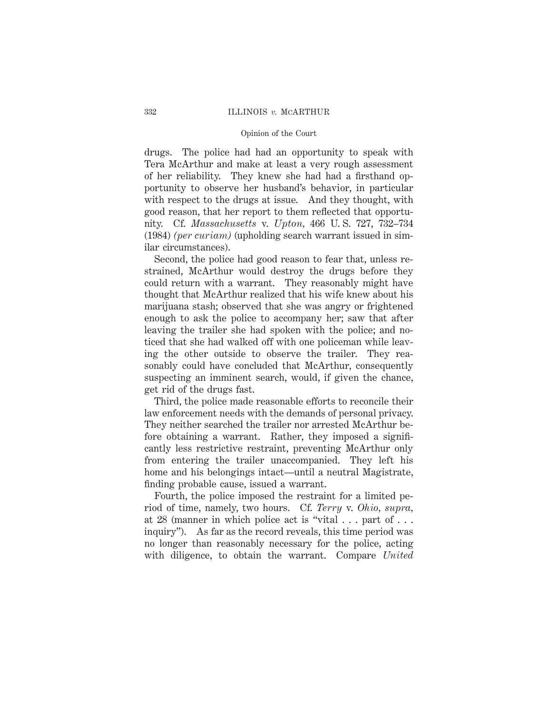#### 332 ILLINOIS *v.* McARTHUR

#### Opinion of the Court

drugs. The police had had an opportunity to speak with Tera McArthur and make at least a very rough assessment of her reliability. They knew she had had a firsthand opportunity to observe her husband's behavior, in particular with respect to the drugs at issue. And they thought, with good reason, that her report to them reflected that opportunity. Cf. *Massachusetts* v. *Upton,* 466 U. S. 727, 732–734 (1984) *(per curiam)* (upholding search warrant issued in similar circumstances).

Second, the police had good reason to fear that, unless restrained, McArthur would destroy the drugs before they could return with a warrant. They reasonably might have thought that McArthur realized that his wife knew about his marijuana stash; observed that she was angry or frightened enough to ask the police to accompany her; saw that after leaving the trailer she had spoken with the police; and noticed that she had walked off with one policeman while leaving the other outside to observe the trailer. They reasonably could have concluded that McArthur, consequently suspecting an imminent search, would, if given the chance, get rid of the drugs fast.

Third, the police made reasonable efforts to reconcile their law enforcement needs with the demands of personal privacy. They neither searched the trailer nor arrested McArthur before obtaining a warrant. Rather, they imposed a significantly less restrictive restraint, preventing McArthur only from entering the trailer unaccompanied. They left his home and his belongings intact—until a neutral Magistrate, finding probable cause, issued a warrant.

Fourth, the police imposed the restraint for a limited period of time, namely, two hours. Cf. *Terry* v. *Ohio, supra,* at 28 (manner in which police act is "vital . . . part of . . . inquiry"). As far as the record reveals, this time period was no longer than reasonably necessary for the police, acting with diligence, to obtain the warrant. Compare *United*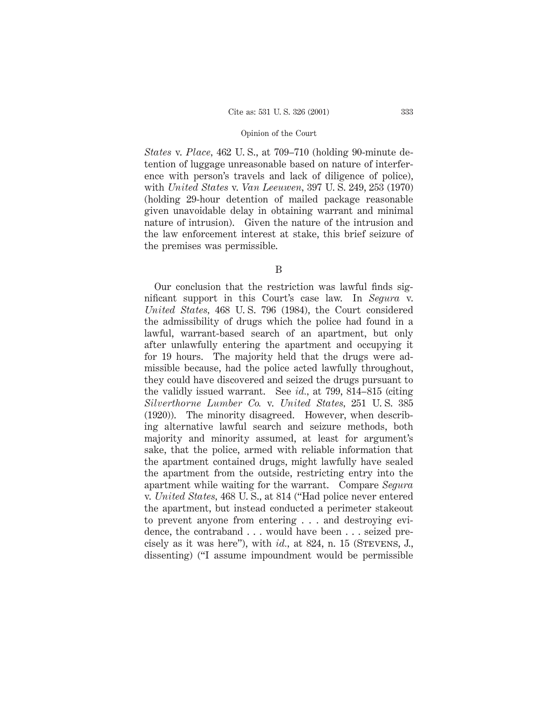*States* v. *Place,* 462 U. S., at 709–710 (holding 90-minute detention of luggage unreasonable based on nature of interference with person's travels and lack of diligence of police), with *United States* v. *Van Leeuwen,* 397 U. S. 249, 253 (1970) (holding 29-hour detention of mailed package reasonable given unavoidable delay in obtaining warrant and minimal nature of intrusion). Given the nature of the intrusion and the law enforcement interest at stake, this brief seizure of the premises was permissible.

B

Our conclusion that the restriction was lawful finds significant support in this Court's case law. In *Segura* v. *United States,* 468 U. S. 796 (1984), the Court considered the admissibility of drugs which the police had found in a lawful, warrant-based search of an apartment, but only after unlawfully entering the apartment and occupying it for 19 hours. The majority held that the drugs were admissible because, had the police acted lawfully throughout, they could have discovered and seized the drugs pursuant to the validly issued warrant. See *id.,* at 799, 814–815 (citing *Silverthorne Lumber Co.* v. *United States,* 251 U. S. 385 (1920)). The minority disagreed. However, when describing alternative lawful search and seizure methods, both majority and minority assumed, at least for argument's sake, that the police, armed with reliable information that the apartment contained drugs, might lawfully have sealed the apartment from the outside, restricting entry into the apartment while waiting for the warrant. Compare *Segura* v. *United States,* 468 U. S., at 814 ("Had police never entered the apartment, but instead conducted a perimeter stakeout to prevent anyone from entering . . . and destroying evidence, the contraband . . . would have been . . . seized precisely as it was here"), with *id.,* at 824, n. 15 (Stevens, J., dissenting) ("I assume impoundment would be permissible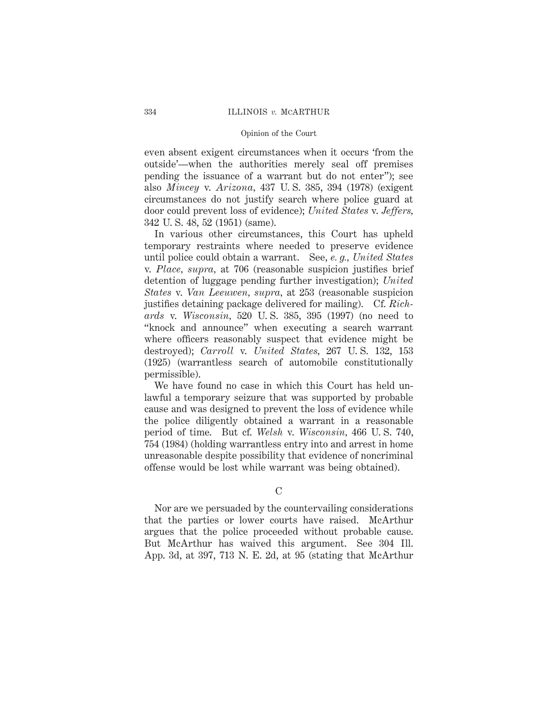even absent exigent circumstances when it occurs 'from the outside'—when the authorities merely seal off premises pending the issuance of a warrant but do not enter"); see also *Mincey* v. *Arizona,* 437 U. S. 385, 394 (1978) (exigent circumstances do not justify search where police guard at door could prevent loss of evidence); *United States* v. *Jeffers,* 342 U. S. 48, 52 (1951) (same).

In various other circumstances, this Court has upheld temporary restraints where needed to preserve evidence until police could obtain a warrant. See, *e. g., United States* v. *Place, supra,* at 706 (reasonable suspicion justifies brief detention of luggage pending further investigation); *United States* v. *Van Leeuwen, supra,* at 253 (reasonable suspicion justifies detaining package delivered for mailing). Cf. *Richards* v. *Wisconsin,* 520 U. S. 385, 395 (1997) (no need to "knock and announce" when executing a search warrant where officers reasonably suspect that evidence might be destroyed); *Carroll* v. *United States,* 267 U. S. 132, 153 (1925) (warrantless search of automobile constitutionally permissible).

We have found no case in which this Court has held unlawful a temporary seizure that was supported by probable cause and was designed to prevent the loss of evidence while the police diligently obtained a warrant in a reasonable period of time. But cf. *Welsh* v. *Wisconsin,* 466 U. S. 740, 754 (1984) (holding warrantless entry into and arrest in home unreasonable despite possibility that evidence of noncriminal offense would be lost while warrant was being obtained).

 $\mathcal{C}$ 

Nor are we persuaded by the countervailing considerations that the parties or lower courts have raised. McArthur argues that the police proceeded without probable cause. But McArthur has waived this argument. See 304 Ill. App. 3d, at 397, 713 N. E. 2d, at 95 (stating that McArthur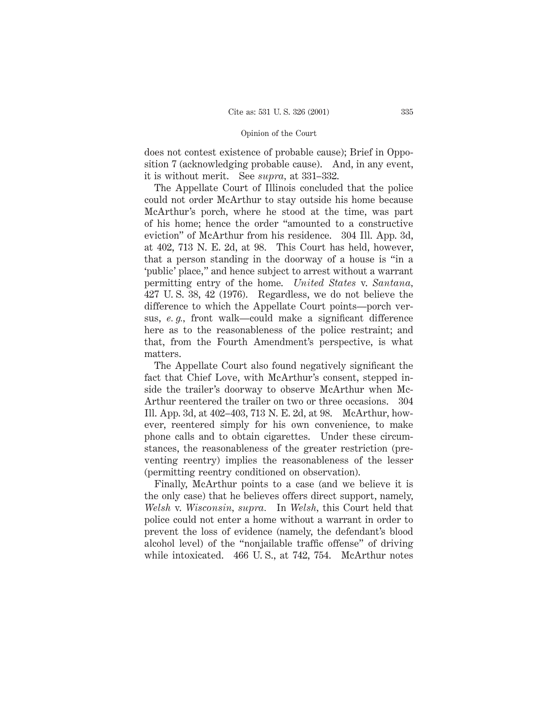does not contest existence of probable cause); Brief in Opposition 7 (acknowledging probable cause). And, in any event, it is without merit. See *supra,* at 331–332.

The Appellate Court of Illinois concluded that the police could not order McArthur to stay outside his home because McArthur's porch, where he stood at the time, was part of his home; hence the order "amounted to a constructive eviction" of McArthur from his residence. 304 Ill. App. 3d, at 402, 713 N. E. 2d, at 98. This Court has held, however, that a person standing in the doorway of a house is "in a 'public' place," and hence subject to arrest without a warrant permitting entry of the home. *United States* v. *Santana,* 427 U. S. 38, 42 (1976). Regardless, we do not believe the difference to which the Appellate Court points—porch versus, *e. g.,* front walk—could make a significant difference here as to the reasonableness of the police restraint; and that, from the Fourth Amendment's perspective, is what matters.

The Appellate Court also found negatively significant the fact that Chief Love, with McArthur's consent, stepped inside the trailer's doorway to observe McArthur when Mc-Arthur reentered the trailer on two or three occasions. 304 Ill. App. 3d, at 402–403, 713 N. E. 2d, at 98. McArthur, however, reentered simply for his own convenience, to make phone calls and to obtain cigarettes. Under these circumstances, the reasonableness of the greater restriction (preventing reentry) implies the reasonableness of the lesser (permitting reentry conditioned on observation).

Finally, McArthur points to a case (and we believe it is the only case) that he believes offers direct support, namely, *Welsh* v. *Wisconsin, supra.* In *Welsh,* this Court held that police could not enter a home without a warrant in order to prevent the loss of evidence (namely, the defendant's blood alcohol level) of the "nonjailable traffic offense" of driving while intoxicated. 466 U.S., at 742, 754. McArthur notes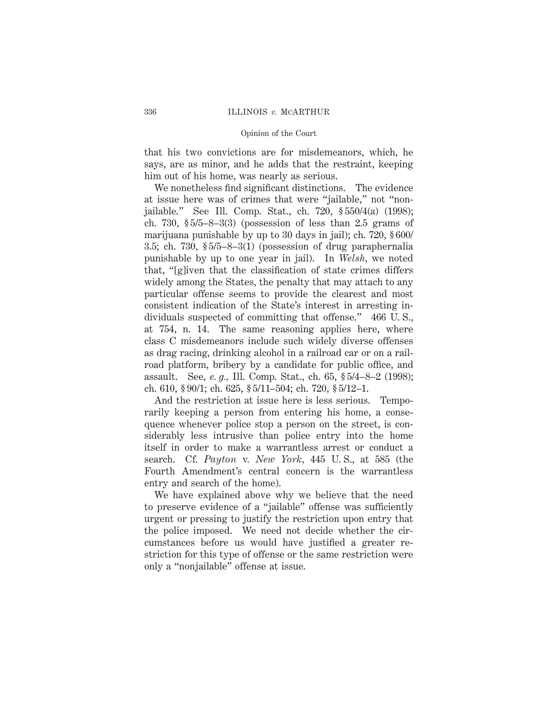that his two convictions are for misdemeanors, which, he says, are as minor, and he adds that the restraint, keeping him out of his home, was nearly as serious.

We nonetheless find significant distinctions. The evidence at issue here was of crimes that were "jailable," not "nonjailable." See Ill. Comp. Stat., ch. 720, § 550/4(a) (1998); ch. 730,  $$5/5-8-3(3)$  (possession of less than 2.5 grams of marijuana punishable by up to 30 days in jail); ch. 720, § 600/ 3.5; ch. 730, § 5/5–8–3(1) (possession of drug paraphernalia punishable by up to one year in jail). In *Welsh,* we noted that, "[g]iven that the classification of state crimes differs widely among the States, the penalty that may attach to any particular offense seems to provide the clearest and most consistent indication of the State's interest in arresting individuals suspected of committing that offense." 466 U. S., at 754, n. 14. The same reasoning applies here, where class C misdemeanors include such widely diverse offenses as drag racing, drinking alcohol in a railroad car or on a railroad platform, bribery by a candidate for public office, and assault. See, *e. g.,* Ill. Comp. Stat., ch. 65, § 5/4–8–2 (1998); ch. 610, § 90/1; ch. 625, § 5/11–504; ch. 720, § 5/12–1.

And the restriction at issue here is less serious. Temporarily keeping a person from entering his home, a consequence whenever police stop a person on the street, is considerably less intrusive than police entry into the home itself in order to make a warrantless arrest or conduct a search. Cf. *Payton* v. *New York,* 445 U. S., at 585 (the Fourth Amendment's central concern is the warrantless entry and search of the home).

We have explained above why we believe that the need to preserve evidence of a "jailable" offense was sufficiently urgent or pressing to justify the restriction upon entry that the police imposed. We need not decide whether the circumstances before us would have justified a greater restriction for this type of offense or the same restriction were only a "nonjailable" offense at issue.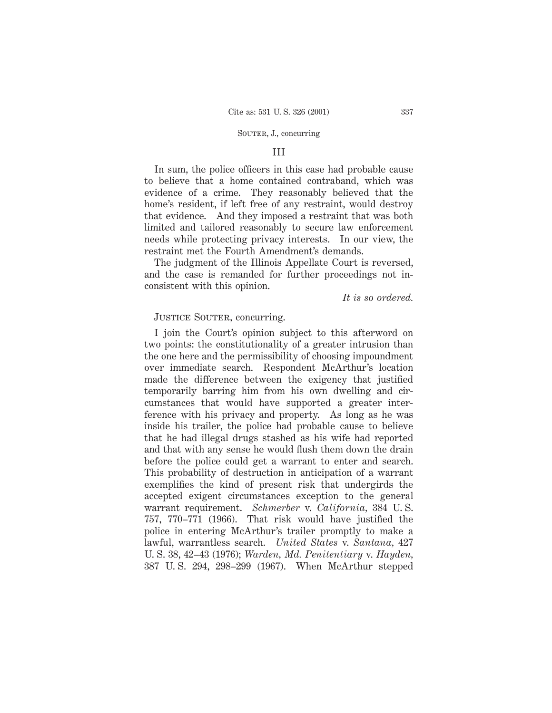### SOUTER, J., concurring

#### III

In sum, the police officers in this case had probable cause to believe that a home contained contraband, which was evidence of a crime. They reasonably believed that the home's resident, if left free of any restraint, would destroy that evidence. And they imposed a restraint that was both limited and tailored reasonably to secure law enforcement needs while protecting privacy interests. In our view, the restraint met the Fourth Amendment's demands.

The judgment of the Illinois Appellate Court is reversed, and the case is remanded for further proceedings not inconsistent with this opinion.

*It is so ordered.*

# JUSTICE SOUTER, concurring.

I join the Court's opinion subject to this afterword on two points: the constitutionality of a greater intrusion than the one here and the permissibility of choosing impoundment over immediate search. Respondent McArthur's location made the difference between the exigency that justified temporarily barring him from his own dwelling and circumstances that would have supported a greater interference with his privacy and property. As long as he was inside his trailer, the police had probable cause to believe that he had illegal drugs stashed as his wife had reported and that with any sense he would flush them down the drain before the police could get a warrant to enter and search. This probability of destruction in anticipation of a warrant exemplifies the kind of present risk that undergirds the accepted exigent circumstances exception to the general warrant requirement. *Schmerber* v. *California,* 384 U. S. 757, 770–771 (1966). That risk would have justified the police in entering McArthur's trailer promptly to make a lawful, warrantless search. *United States* v. *Santana,* 427 U. S. 38, 42–43 (1976); *Warden, Md. Penitentiary* v. *Hayden,* 387 U. S. 294, 298–299 (1967). When McArthur stepped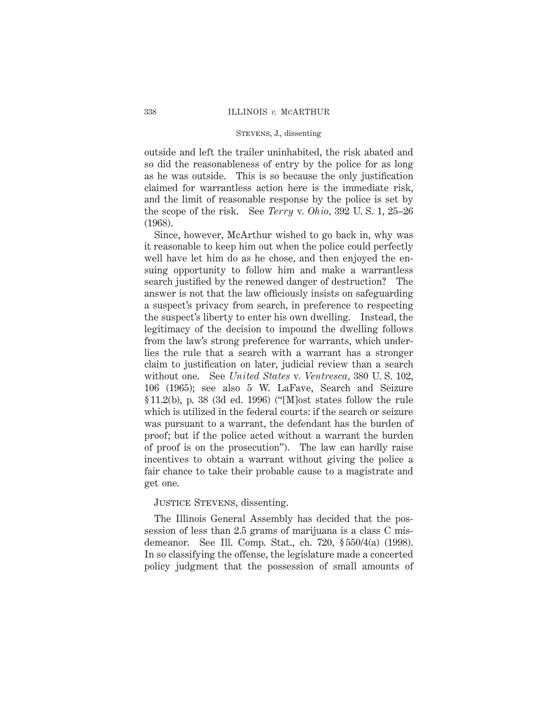### STEVENS, J., dissenting

outside and left the trailer uninhabited, the risk abated and so did the reasonableness of entry by the police for as long as he was outside. This is so because the only justification claimed for warrantless action here is the immediate risk, and the limit of reasonable response by the police is set by the scope of the risk. See *Terry* v. *Ohio,* 392 U. S. 1, 25–26 (1968).

Since, however, McArthur wished to go back in, why was it reasonable to keep him out when the police could perfectly well have let him do as he chose, and then enjoyed the ensuing opportunity to follow him and make a warrantless search justified by the renewed danger of destruction? The answer is not that the law officiously insists on safeguarding a suspect's privacy from search, in preference to respecting the suspect's liberty to enter his own dwelling. Instead, the legitimacy of the decision to impound the dwelling follows from the law's strong preference for warrants, which underlies the rule that a search with a warrant has a stronger claim to justification on later, judicial review than a search without one. See *United States* v*. Ventresca,* 380 U. S. 102, 106 (1965); see also 5 W. LaFave, Search and Seizure § 11.2(b), p. 38 (3d ed. 1996) ("[M]ost states follow the rule which is utilized in the federal courts: if the search or seizure was pursuant to a warrant, the defendant has the burden of proof; but if the police acted without a warrant the burden of proof is on the prosecution"). The law can hardly raise incentives to obtain a warrant without giving the police a fair chance to take their probable cause to a magistrate and get one.

# JUSTICE STEVENS, dissenting.

The Illinois General Assembly has decided that the possession of less than 2.5 grams of marijuana is a class C misdemeanor. See Ill. Comp. Stat., ch. 720, § 550/4(a) (1998). In so classifying the offense, the legislature made a concerted policy judgment that the possession of small amounts of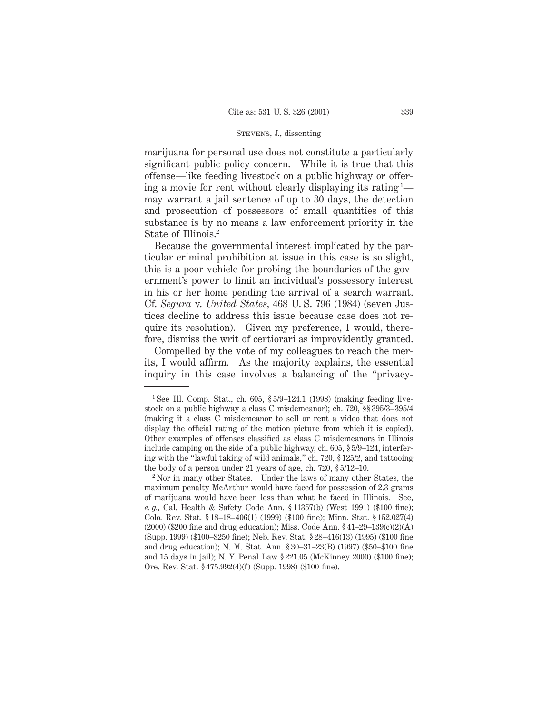### STEVENS, J., dissenting

marijuana for personal use does not constitute a particularly significant public policy concern. While it is true that this offense—like feeding livestock on a public highway or offering a movie for rent without clearly displaying its rating <sup>1</sup> may warrant a jail sentence of up to 30 days, the detection and prosecution of possessors of small quantities of this substance is by no means a law enforcement priority in the State of Illinois.2

Because the governmental interest implicated by the particular criminal prohibition at issue in this case is so slight, this is a poor vehicle for probing the boundaries of the government's power to limit an individual's possessory interest in his or her home pending the arrival of a search warrant. Cf. *Segura* v. *United States,* 468 U. S. 796 (1984) (seven Justices decline to address this issue because case does not require its resolution). Given my preference, I would, therefore, dismiss the writ of certiorari as improvidently granted.

Compelled by the vote of my colleagues to reach the merits, I would affirm. As the majority explains, the essential inquiry in this case involves a balancing of the "privacy-

<sup>&</sup>lt;sup>1</sup> See Ill. Comp. Stat., ch.  $605, \, \frac{6}{9}5/9 - 124.1$  (1998) (making feeding livestock on a public highway a class C misdemeanor); ch. 720, §§ 395/3–395/4 (making it a class C misdemeanor to sell or rent a video that does not display the official rating of the motion picture from which it is copied). Other examples of offenses classified as class C misdemeanors in Illinois include camping on the side of a public highway, ch. 605, § 5/9–124, interfering with the "lawful taking of wild animals," ch. 720, § 125/2, and tattooing the body of a person under 21 years of age, ch. 720, § 5/12–10.

<sup>2</sup> Nor in many other States. Under the laws of many other States, the maximum penalty McArthur would have faced for possession of 2.3 grams of marijuana would have been less than what he faced in Illinois. See, *e. g.,* Cal. Health & Safety Code Ann. § 11357(b) (West 1991) (\$100 fine); Colo. Rev. Stat. § 18–18–406(1) (1999) (\$100 fine); Minn. Stat. § 152.027(4)  $(2000)$  (\$200 fine and drug education); Miss. Code Ann. § 41–29–139(c)(2)(A) (Supp. 1999) (\$100–\$250 fine); Neb. Rev. Stat. § 28–416(13) (1995) (\$100 fine and drug education); N. M. Stat. Ann. § 30–31–23(B) (1997) (\$50–\$100 fine and 15 days in jail); N. Y. Penal Law § 221.05 (McKinney 2000) (\$100 fine); Ore. Rev. Stat. § 475.992(4)(f) (Supp. 1998) (\$100 fine).